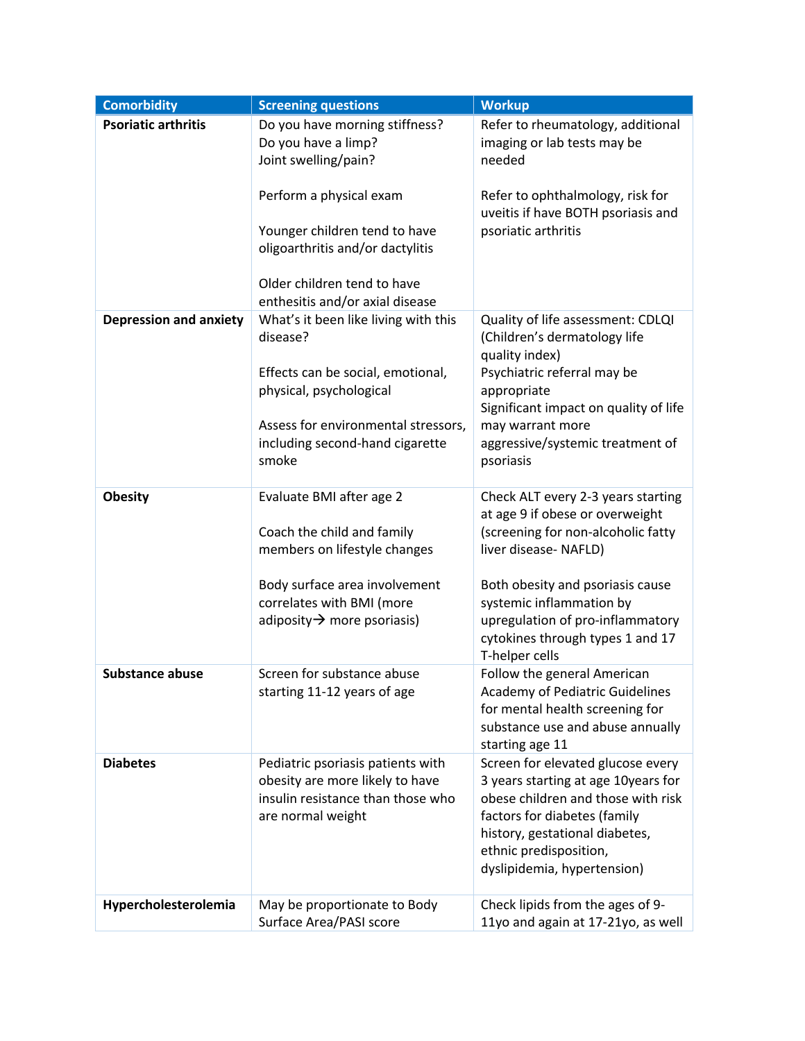| <b>Comorbidity</b>            | <b>Screening questions</b>              | <b>Workup</b>                                                         |
|-------------------------------|-----------------------------------------|-----------------------------------------------------------------------|
| <b>Psoriatic arthritis</b>    | Do you have morning stiffness?          | Refer to rheumatology, additional                                     |
|                               | Do you have a limp?                     | imaging or lab tests may be                                           |
|                               | Joint swelling/pain?                    | needed                                                                |
|                               | Perform a physical exam                 | Refer to ophthalmology, risk for                                      |
|                               |                                         | uveitis if have BOTH psoriasis and                                    |
|                               | Younger children tend to have           | psoriatic arthritis                                                   |
|                               | oligoarthritis and/or dactylitis        |                                                                       |
|                               |                                         |                                                                       |
|                               | Older children tend to have             |                                                                       |
|                               | enthesitis and/or axial disease         |                                                                       |
| <b>Depression and anxiety</b> | What's it been like living with this    | Quality of life assessment: CDLQI                                     |
|                               | disease?                                | (Children's dermatology life                                          |
|                               | Effects can be social, emotional,       | quality index)<br>Psychiatric referral may be                         |
|                               | physical, psychological                 | appropriate                                                           |
|                               |                                         | Significant impact on quality of life                                 |
|                               | Assess for environmental stressors,     | may warrant more                                                      |
|                               | including second-hand cigarette         | aggressive/systemic treatment of                                      |
|                               | smoke                                   | psoriasis                                                             |
|                               |                                         |                                                                       |
| <b>Obesity</b>                | Evaluate BMI after age 2                | Check ALT every 2-3 years starting<br>at age 9 if obese or overweight |
|                               | Coach the child and family              | (screening for non-alcoholic fatty                                    |
|                               | members on lifestyle changes            | liver disease- NAFLD)                                                 |
|                               |                                         |                                                                       |
|                               | Body surface area involvement           | Both obesity and psoriasis cause                                      |
|                               | correlates with BMI (more               | systemic inflammation by                                              |
|                               | adiposity $\rightarrow$ more psoriasis) | upregulation of pro-inflammatory                                      |
|                               |                                         | cytokines through types 1 and 17<br>T-helper cells                    |
| <b>Substance abuse</b>        | Screen for substance abuse              | Follow the general American                                           |
|                               | starting 11-12 years of age             | <b>Academy of Pediatric Guidelines</b>                                |
|                               |                                         | for mental health screening for                                       |
|                               |                                         | substance use and abuse annually                                      |
|                               |                                         | starting age 11                                                       |
| <b>Diabetes</b>               | Pediatric psoriasis patients with       | Screen for elevated glucose every                                     |
|                               | obesity are more likely to have         | 3 years starting at age 10years for                                   |
|                               | insulin resistance than those who       | obese children and those with risk                                    |
|                               | are normal weight                       | factors for diabetes (family<br>history, gestational diabetes,        |
|                               |                                         | ethnic predisposition,                                                |
|                               |                                         | dyslipidemia, hypertension)                                           |
|                               |                                         |                                                                       |
| Hypercholesterolemia          | May be proportionate to Body            | Check lipids from the ages of 9-                                      |
|                               | Surface Area/PASI score                 | 11yo and again at 17-21yo, as well                                    |